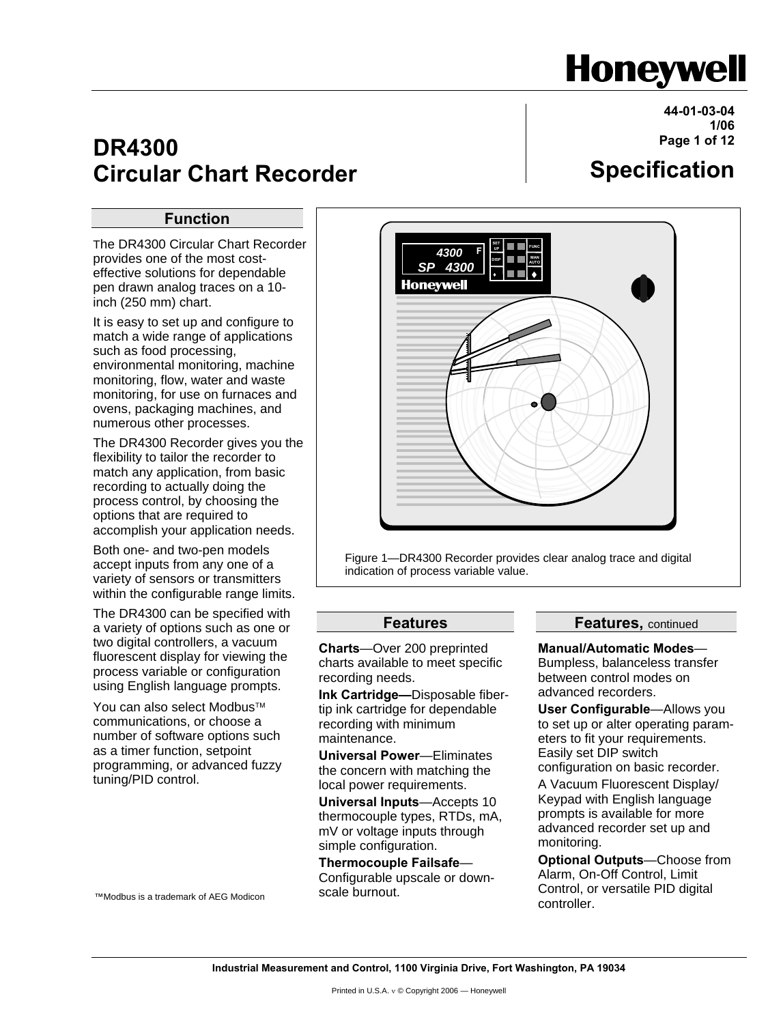# **Honeywell**

**Specification**

**44-01-03-04 1/06 Page 1 of 12**

# **Circular Chart Recorder**

#### **Function**

**DR4300** 

The DR4300 Circular Chart Recorder provides one of the most costeffective solutions for dependable pen drawn analog traces on a 10 inch (250 mm) chart.

It is easy to set up and configure to match a wide range of applications such as food processing, environmental monitoring, machine monitoring, flow, water and waste monitoring, for use on furnaces and ovens, packaging machines, and numerous other processes.

The DR4300 Recorder gives you the flexibility to tailor the recorder to match any application, from basic recording to actually doing the process control, by choosing the options that are required to accomplish your application needs.

Both one- and two-pen models accept inputs from any one of a variety of sensors or transmitters within the configurable range limits.

The DR4300 can be specified with a variety of options such as one or two digital controllers, a vacuum fluorescent display for viewing the process variable or configuration using English language prompts.

You can also select Modbus™ communications, or choose a number of software options such as a timer function, setpoint programming, or advanced fuzzy tuning/PID control.



Figure 1—DR4300 Recorder provides clear analog trace and digital indication of process variable value.

#### **Features**

**Charts**—Over 200 preprinted charts available to meet specific recording needs.

**Ink Cartridge—**Disposable fibertip ink cartridge for dependable recording with minimum maintenance.

**Universal Power**—Eliminates the concern with matching the local power requirements.

**Universal Inputs**—Accepts 10 thermocouple types, RTDs, mA, mV or voltage inputs through simple configuration.

**Thermocouple Failsafe**— Configurable upscale or downscale burnout.

**Features,** continued

**Manual/Automatic Modes**—

Bumpless, balanceless transfer between control modes on advanced recorders.

**User Configurable**—Allows you to set up or alter operating parameters to fit your requirements. Easily set DIP switch

configuration on basic recorder.

A Vacuum Fluorescent Display/ Keypad with English language prompts is available for more advanced recorder set up and monitoring.

**Optional Outputs**—Choose from Alarm, On-Off Control, Limit Control, or versatile PID digital controller.

™Modbus is a trademark of AEG Modicon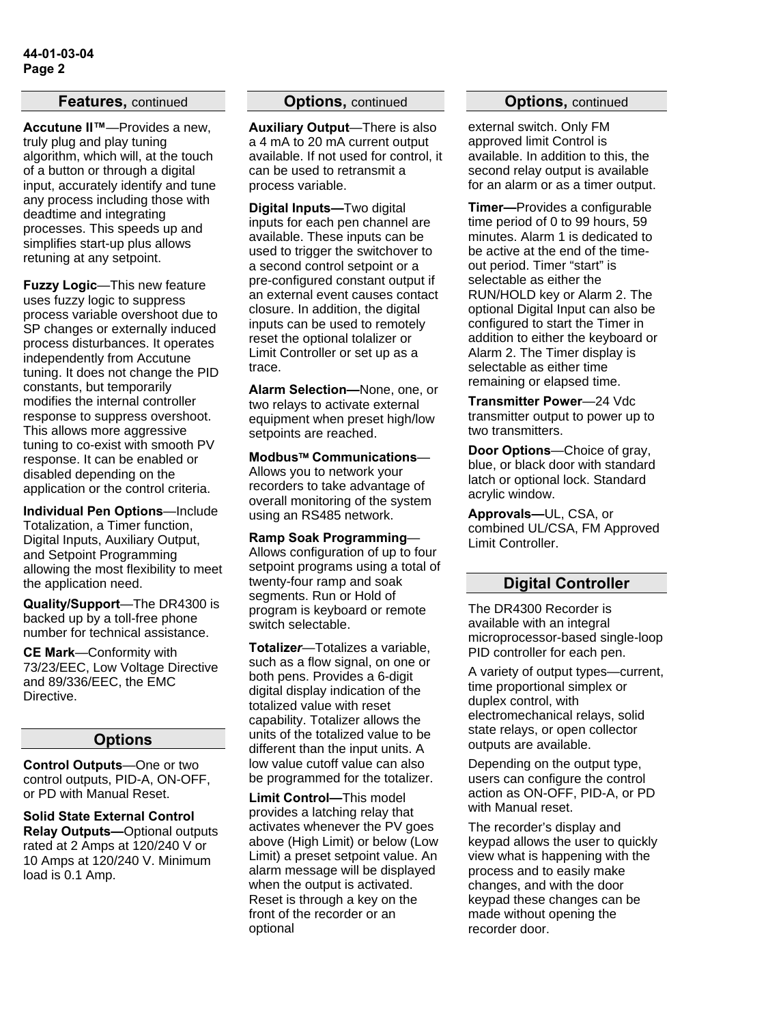#### **Features,** continued

**Accutune II™**—Provides a new, truly plug and play tuning algorithm, which will, at the touch of a button or through a digital input, accurately identify and tune any process including those with deadtime and integrating processes. This speeds up and simplifies start-up plus allows retuning at any setpoint.

**Fuzzy Logic**—This new feature uses fuzzy logic to suppress process variable overshoot due to SP changes or externally induced process disturbances. It operates independently from Accutune tuning. It does not change the PID constants, but temporarily modifies the internal controller response to suppress overshoot. This allows more aggressive tuning to co-exist with smooth PV response. It can be enabled or disabled depending on the application or the control criteria.

**Individual Pen Options**—Include Totalization, a Timer function, Digital Inputs, Auxiliary Output, and Setpoint Programming allowing the most flexibility to meet the application need.

**Quality/Support**—The DR4300 is backed up by a toll-free phone number for technical assistance.

**CE Mark**—Conformity with 73/23/EEC, Low Voltage Directive and 89/336/EEC, the EMC Directive.

#### **Options**

**Control Outputs**—One or two control outputs, PID-A, ON-OFF, or PD with Manual Reset.

**Solid State External Control Relay Outputs—**Optional outputs rated at 2 Amps at 120/240 V or 10 Amps at 120/240 V. Minimum load is 0.1 Amp.

#### **Options,** continued

**Auxiliary Output**—There is also a 4 mA to 20 mA current output available. If not used for control, it can be used to retransmit a process variable.

**Digital Inputs—**Two digital inputs for each pen channel are available. These inputs can be used to trigger the switchover to a second control setpoint or a pre-configured constant output if an external event causes contact closure. In addition, the digital inputs can be used to remotely reset the optional tolalizer or Limit Controller or set up as a trace.

**Alarm Selection—**None, one, or two relays to activate external equipment when preset high/low setpoints are reached.

**Modbus**™ **Communications**— Allows you to network your recorders to take advantage of overall monitoring of the system using an RS485 network.

**Ramp Soak Programming**— Allows configuration of up to four setpoint programs using a total of twenty-four ramp and soak segments. Run or Hold of program is keyboard or remote switch selectable.

**Totalize***r*—Totalizes a variable, such as a flow signal, on one or both pens. Provides a 6-digit digital display indication of the totalized value with reset capability. Totalizer allows the units of the totalized value to be different than the input units. A low value cutoff value can also be programmed for the totalizer.

**Limit Control***—*This model provides a latching relay that activates whenever the PV goes above (High Limit) or below (Low Limit) a preset setpoint value. An alarm message will be displayed when the output is activated. Reset is through a key on the front of the recorder or an optional

#### **Options,** continued

external switch. Only FM approved limit Control is available. In addition to this, the second relay output is available for an alarm or as a timer output.

**Timer—**Provides a configurable time period of 0 to 99 hours, 59 minutes. Alarm 1 is dedicated to be active at the end of the timeout period. Timer "start" is selectable as either the RUN/HOLD key or Alarm 2. The optional Digital Input can also be configured to start the Timer in addition to either the keyboard or Alarm 2. The Timer display is selectable as either time remaining or elapsed time.

**Transmitter Power**—24 Vdc transmitter output to power up to two transmitters.

**Door Options**—Choice of gray, blue, or black door with standard latch or optional lock. Standard acrylic window.

**Approvals—**UL, CSA, or combined UL/CSA, FM Approved Limit Controller.

#### **Digital Controller**

The DR4300 Recorder is available with an integral microprocessor-based single-loop PID controller for each pen.

A variety of output types—current, time proportional simplex or duplex control, with electromechanical relays, solid state relays, or open collector outputs are available.

Depending on the output type, users can configure the control action as ON-OFF, PID-A, or PD with Manual reset.

The recorder's display and keypad allows the user to quickly view what is happening with the process and to easily make changes, and with the door keypad these changes can be made without opening the recorder door.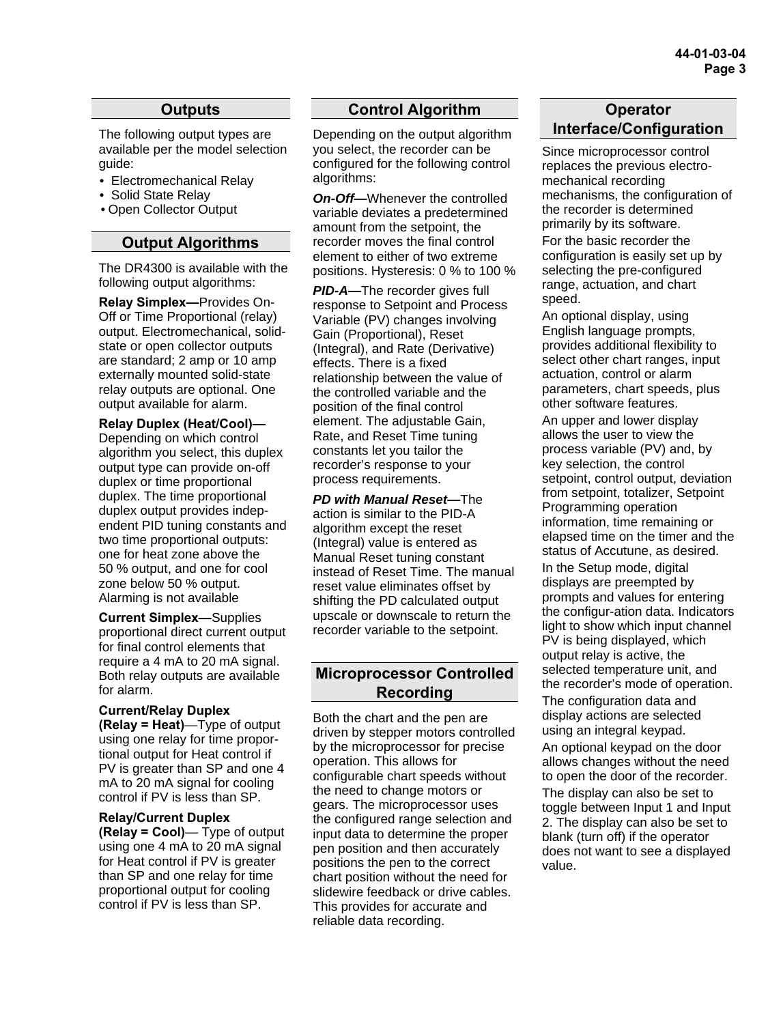#### **Outputs**

The following output types are available per the model selection guide:

- Electromechanical Relay
- Solid State Relay
- Open Collector Output

#### **Output Algorithms**

The DR4300 is available with the following output algorithms:

**Relay Simplex—**Provides On-Off or Time Proportional (relay) output. Electromechanical, solidstate or open collector outputs are standard; 2 amp or 10 amp externally mounted solid-state relay outputs are optional. One output available for alarm.

**Relay Duplex (Heat/Cool)—** Depending on which control algorithm you select, this duplex output type can provide on-off duplex or time proportional duplex. The time proportional duplex output provides independent PID tuning constants and two time proportional outputs: one for heat zone above the 50 % output, and one for cool zone below 50 % output. Alarming is not available

**Current Simplex—**Supplies proportional direct current output for final control elements that require a 4 mA to 20 mA signal. Both relay outputs are available for alarm.

**Current/Relay Duplex (Relay = Heat)**—Type of output using one relay for time proportional output for Heat control if PV is greater than SP and one 4 mA to 20 mA signal for cooling control if PV is less than SP.

**Relay/Current Duplex (Relay = Cool)**— Type of output using one 4 mA to 20 mA signal for Heat control if PV is greater than SP and one relay for time proportional output for cooling control if PV is less than SP.

#### **Control Algorithm**

Depending on the output algorithm you select, the recorder can be configured for the following control algorithms:

**On-Off—**Whenever the controlled variable deviates a predetermined amount from the setpoint, the recorder moves the final control element to either of two extreme positions. Hysteresis: 0 % to 100 %

*PID-A—*The recorder gives full response to Setpoint and Process Variable (PV) changes involving Gain (Proportional), Reset (Integral), and Rate (Derivative) effects. There is a fixed relationship between the value of the controlled variable and the position of the final control element. The adjustable Gain, Rate, and Reset Time tuning constants let you tailor the recorder's response to your process requirements.

*PD with Manual Reset—*The action is similar to the PID-A algorithm except the reset (Integral) value is entered as Manual Reset tuning constant instead of Reset Time. The manual reset value eliminates offset by shifting the PD calculated output upscale or downscale to return the recorder variable to the setpoint.

#### **Microprocessor Controlled Recording**

Both the chart and the pen are driven by stepper motors controlled by the microprocessor for precise operation. This allows for configurable chart speeds without the need to change motors or gears. The microprocessor uses the configured range selection and input data to determine the proper pen position and then accurately positions the pen to the correct chart position without the need for slidewire feedback or drive cables. This provides for accurate and reliable data recording.

#### **Operator Interface/Configuration**

Since microprocessor control replaces the previous electromechanical recording mechanisms, the configuration of the recorder is determined primarily by its software. For the basic recorder the configuration is easily set up by selecting the pre-configured range, actuation, and chart speed.

An optional display, using English language prompts, provides additional flexibility to select other chart ranges, input actuation, control or alarm parameters, chart speeds, plus other software features.

An upper and lower display allows the user to view the process variable (PV) and, by key selection, the control setpoint, control output, deviation from setpoint, totalizer, Setpoint Programming operation information, time remaining or elapsed time on the timer and the status of Accutune, as desired. In the Setup mode, digital displays are preempted by prompts and values for entering the configur-ation data. Indicators light to show which input channel PV is being displayed, which output relay is active, the selected temperature unit, and the recorder's mode of operation.

The configuration data and display actions are selected using an integral keypad.

An optional keypad on the door allows changes without the need to open the door of the recorder.

The display can also be set to toggle between Input 1 and Input 2. The display can also be set to blank (turn off) if the operator does not want to see a displayed value.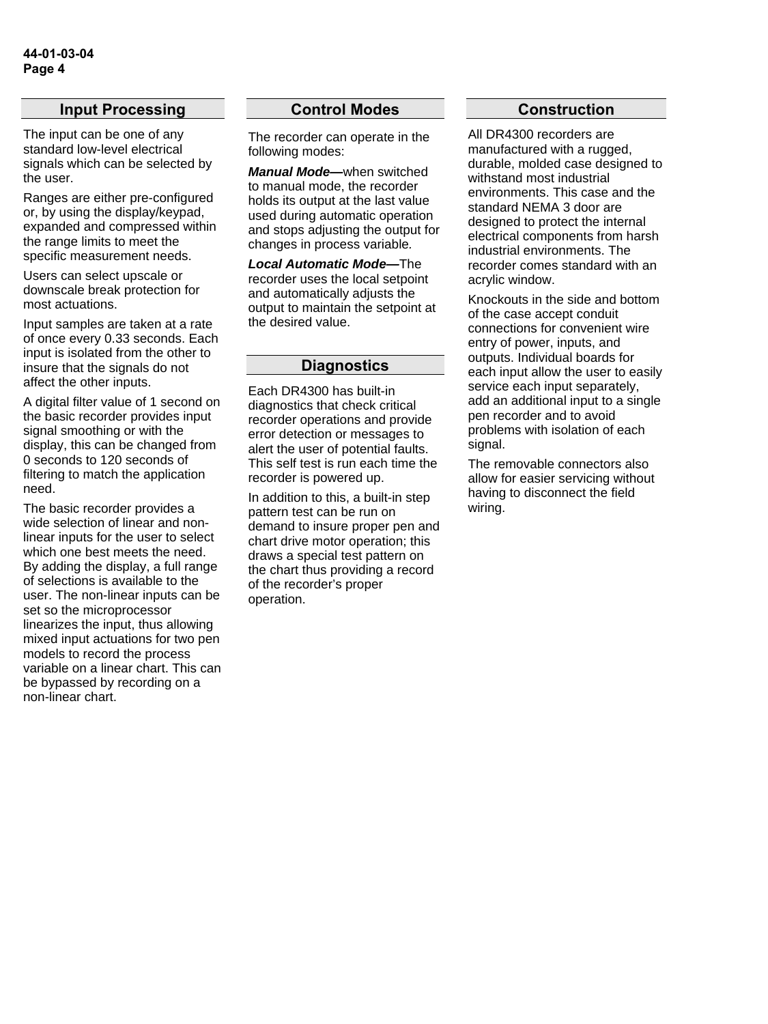#### **Input Processing**

The input can be one of any standard low-level electrical signals which can be selected by the user.

Ranges are either pre-configured or, by using the display/keypad, expanded and compressed within the range limits to meet the specific measurement needs.

Users can select upscale or downscale break protection for most actuations.

Input samples are taken at a rate of once every 0.33 seconds. Each input is isolated from the other to insure that the signals do not affect the other inputs.

A digital filter value of 1 second on the basic recorder provides input signal smoothing or with the display, this can be changed from 0 seconds to 120 seconds of filtering to match the application need.

The basic recorder provides a wide selection of linear and nonlinear inputs for the user to select which one best meets the need. By adding the display, a full range of selections is available to the user. The non-linear inputs can be set so the microprocessor linearizes the input, thus allowing mixed input actuations for two pen models to record the process variable on a linear chart. This can be bypassed by recording on a non-linear chart.

#### **Control Modes**

The recorder can operate in the following modes:

*Manual Mode—*when switched to manual mode, the recorder holds its output at the last value used during automatic operation and stops adjusting the output for changes in process variable*.* 

*Local Automatic Mode—*The recorder uses the local setpoint and automatically adjusts the output to maintain the setpoint at the desired value.

#### **Diagnostics**

Each DR4300 has built-in diagnostics that check critical recorder operations and provide error detection or messages to alert the user of potential faults. This self test is run each time the recorder is powered up.

In addition to this, a built-in step pattern test can be run on demand to insure proper pen and chart drive motor operation; this draws a special test pattern on the chart thus providing a record of the recorder's proper operation.

#### **Construction**

All DR4300 recorders are manufactured with a rugged, durable, molded case designed to withstand most industrial environments. This case and the standard NEMA 3 door are designed to protect the internal electrical components from harsh industrial environments. The recorder comes standard with an acrylic window.

Knockouts in the side and bottom of the case accept conduit connections for convenient wire entry of power, inputs, and outputs. Individual boards for each input allow the user to easily service each input separately, add an additional input to a single pen recorder and to avoid problems with isolation of each signal.

The removable connectors also allow for easier servicing without having to disconnect the field wiring.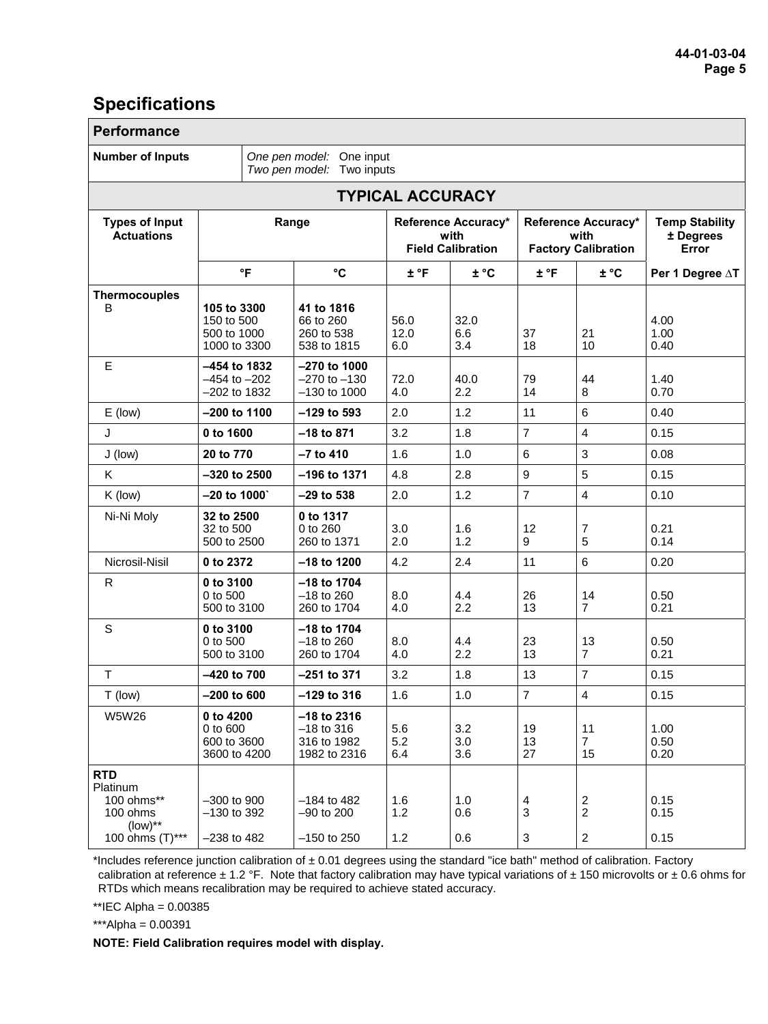### **Specifications**

| <b>Performance</b>                                                                  |                                                          |                                                              |                                                         |                    |                                                           |                                                    |                                             |
|-------------------------------------------------------------------------------------|----------------------------------------------------------|--------------------------------------------------------------|---------------------------------------------------------|--------------------|-----------------------------------------------------------|----------------------------------------------------|---------------------------------------------|
| <b>Number of Inputs</b><br>One pen model: One input<br>Two pen model: Two inputs    |                                                          |                                                              |                                                         |                    |                                                           |                                                    |                                             |
|                                                                                     |                                                          |                                                              | <b>TYPICAL ACCURACY</b>                                 |                    |                                                           |                                                    |                                             |
| <b>Types of Input</b><br><b>Actuations</b>                                          | Range                                                    |                                                              | Reference Accuracy*<br>with<br><b>Field Calibration</b> |                    | Reference Accuracy*<br>with<br><b>Factory Calibration</b> |                                                    | <b>Temp Stability</b><br>± Degrees<br>Error |
|                                                                                     | °F                                                       | $\rm ^{\circ}C$                                              | ± °F                                                    | $\pm$ °C           | $±$ °F                                                    | $±$ °C                                             | Per 1 Degree ∆T                             |
| <b>Thermocouples</b><br>B                                                           | 105 to 3300<br>150 to 500<br>500 to 1000<br>1000 to 3300 | 41 to 1816<br>66 to 260<br>260 to 538<br>538 to 1815         | 56.0<br>12.0<br>6.0                                     | 32.0<br>6.6<br>3.4 | 37<br>18                                                  | 21<br>10                                           | 4.00<br>1.00<br>0.40                        |
| E                                                                                   | -454 to 1832<br>$-454$ to $-202$<br>$-202$ to 1832       | $-270$ to 1000<br>$-270$ to $-130$<br>$-130$ to $1000$       | 72.0<br>4.0                                             | 40.0<br>2.2        | 79<br>14                                                  | 44<br>8                                            | 1.40<br>0.70                                |
| $E$ (low)                                                                           | $-200$ to 1100                                           | $-129$ to 593                                                | 2.0                                                     | 1.2                | 11                                                        | 6                                                  | 0.40                                        |
| J                                                                                   | 0 to 1600                                                | $-18$ to 871                                                 | 3.2                                                     | 1.8                | $\overline{7}$                                            | $\overline{4}$                                     | 0.15                                        |
| J (low)                                                                             | 20 to 770                                                | $-7$ to 410                                                  | 1.6                                                     | 1.0                | $6\phantom{1}6$                                           | 3                                                  | 0.08                                        |
| K                                                                                   | -320 to 2500                                             | $-196$ to 1371                                               | 4.8                                                     | 2.8                | 9                                                         | 5                                                  | 0.15                                        |
| $K$ (low)                                                                           | $-20$ to $1000$                                          | $-29$ to 538                                                 | 2.0                                                     | 1.2                | $\overline{7}$                                            | $\overline{4}$                                     | 0.10                                        |
| Ni-Ni Moly                                                                          | 32 to 2500<br>32 to 500<br>500 to 2500                   | 0 to 1317<br>0 to 260<br>260 to 1371                         | 3.0<br>2.0                                              | 1.6<br>1.2         | 12<br>9                                                   | 7<br>5                                             | 0.21<br>0.14                                |
| Nicrosil-Nisil                                                                      | 0 to 2372                                                | $-18$ to 1200                                                | 4.2                                                     | 2.4                | 11                                                        | 6                                                  | 0.20                                        |
| R                                                                                   | 0 to 3100<br>0 to 500<br>500 to 3100                     | $-18$ to 1704<br>$-18$ to 260<br>260 to 1704                 | 8.0<br>4.0                                              | 4.4<br>2.2         | 26<br>13                                                  | 14<br>$\overline{7}$                               | 0.50<br>0.21                                |
| $\mathbb S$                                                                         | 0 to 3100<br>0 to 500<br>500 to 3100                     | $-18$ to 1704<br>$-18$ to 260<br>260 to 1704                 | 8.0<br>4.0                                              | 4.4<br>2.2         | 23<br>13                                                  | 13<br>$\overline{7}$                               | 0.50<br>0.21                                |
| $\mathsf T$                                                                         | $-420$ to $700$                                          | $-251$ to 371                                                | 3.2                                                     | 1.8                | 13                                                        | $\overline{7}$                                     | 0.15                                        |
| T (low)                                                                             | $-200$ to 600                                            | $-129$ to 316                                                | 1.6                                                     | 1.0                | $\overline{7}$                                            | $\overline{4}$                                     | 0.15                                        |
| <b>W5W26</b>                                                                        | 0 to 4200<br>0 to 600<br>600 to 3600<br>3600 to 4200     | $-18$ to 2316<br>$-18$ to 316<br>316 to 1982<br>1982 to 2316 | 5.6<br>5.2<br>6.4                                       | 3.2<br>3.0<br>3.6  | 19<br>13<br>27                                            | 11<br>$\overline{7}$<br>15                         | 1.00<br>0.50<br>0.20                        |
| <b>RTD</b><br>Platinum<br>100 ohms**<br>100 ohms<br>$(low)^{**}$<br>100 ohms (T)*** | $-300$ to $900$<br>$-130$ to 392<br>$-238$ to 482        | $-184$ to 482<br>$-90$ to $200$<br>$-150$ to 250             | 1.6<br>1.2<br>1.2                                       | 1.0<br>0.6<br>0.6  | 4<br>3<br>3                                               | $\boldsymbol{2}$<br>$\sqrt{2}$<br>$\boldsymbol{2}$ | 0.15<br>0.15<br>0.15                        |

\*Includes reference junction calibration of  $\pm$  0.01 degrees using the standard "ice bath" method of calibration. Factory calibration at reference  $\pm$  1.2 °F. Note that factory calibration may have typical variations of  $\pm$  150 microvolts or  $\pm$  0.6 ohms for RTDs which means recalibration may be required to achieve stated accuracy.

\*\*IEC Alpha = 0.00385

 $***$ Alpha = 0.00391

**NOTE: Field Calibration requires model with display.**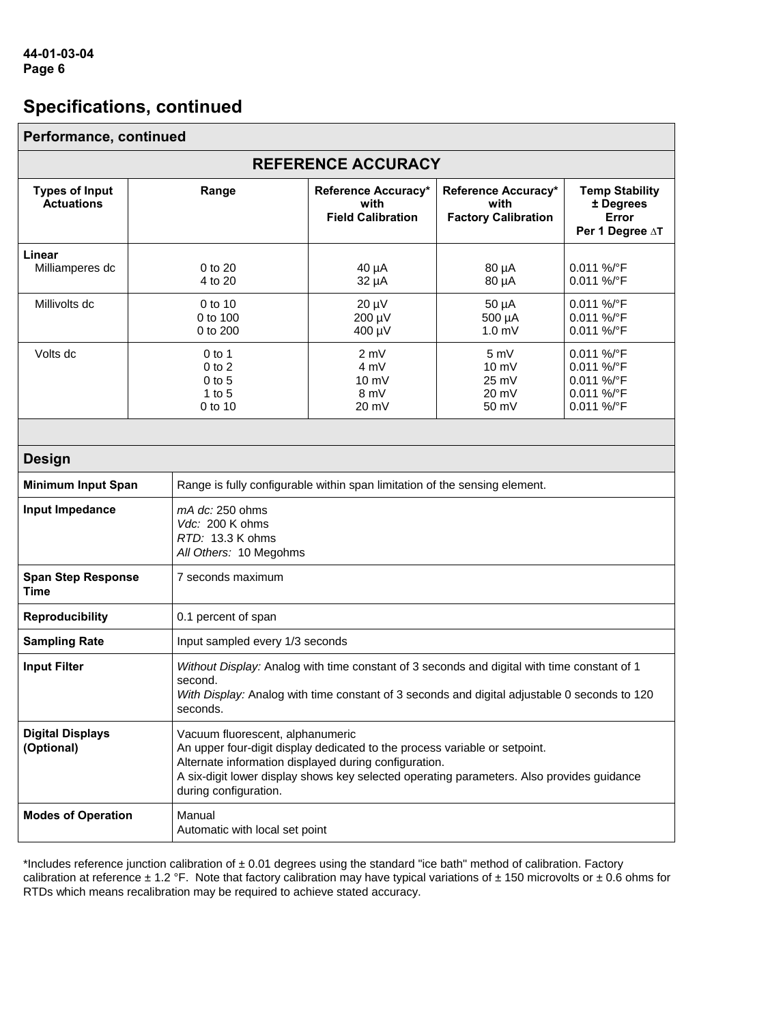| Performance, continued                                                                                                                                                                                                                    |                                                                                                         |                                                                                                                                                                                                                                                                                               |                                                         |                                                             |                                                                    |  |  |
|-------------------------------------------------------------------------------------------------------------------------------------------------------------------------------------------------------------------------------------------|---------------------------------------------------------------------------------------------------------|-----------------------------------------------------------------------------------------------------------------------------------------------------------------------------------------------------------------------------------------------------------------------------------------------|---------------------------------------------------------|-------------------------------------------------------------|--------------------------------------------------------------------|--|--|
| <b>REFERENCE ACCURACY</b>                                                                                                                                                                                                                 |                                                                                                         |                                                                                                                                                                                                                                                                                               |                                                         |                                                             |                                                                    |  |  |
| <b>Types of Input</b><br><b>Actuations</b>                                                                                                                                                                                                |                                                                                                         | Range                                                                                                                                                                                                                                                                                         | Reference Accuracy*<br>with<br><b>Field Calibration</b> | Reference Accuracy*<br>with<br><b>Factory Calibration</b>   | <b>Temp Stability</b><br>± Degrees<br>Error<br>Per 1 Degree AT     |  |  |
| Linear<br>Milliamperes dc                                                                                                                                                                                                                 |                                                                                                         | 0 to 20<br>4 to 20                                                                                                                                                                                                                                                                            | 40 µA<br>32 µA                                          | 80 µA<br>80 µA                                              | 0.011 %/°F<br>0.011 %/°F                                           |  |  |
| Millivolts dc<br>0 to 10<br>0 to 100<br>0 to 200                                                                                                                                                                                          |                                                                                                         | $20 \mu V$<br>200 µV<br>400 µV                                                                                                                                                                                                                                                                | $50 \mu A$<br>500 µA<br>1.0 <sub>mV</sub>               | 0.011 %/°F<br>0.011 %/°F<br>0.011 %/°F                      |                                                                    |  |  |
| Volts dc                                                                                                                                                                                                                                  | $0$ to 1<br>$0$ to $2$<br>$0$ to $5$<br>$1$ to $5$<br>0 to 10                                           |                                                                                                                                                                                                                                                                                               | 2 mV<br>4 mV<br>$10 \text{ mV}$<br>8 mV<br>20 mV        | 5mV<br>$10 \text{ mV}$<br>25 mV<br>20 mV<br>$50 \text{ mV}$ | 0.011 %/°F<br>0.011 %/°F<br>0.011 %/°F<br>0.011 %/°F<br>0.011 %/°F |  |  |
| <b>Design</b>                                                                                                                                                                                                                             |                                                                                                         |                                                                                                                                                                                                                                                                                               |                                                         |                                                             |                                                                    |  |  |
|                                                                                                                                                                                                                                           | <b>Minimum Input Span</b><br>Range is fully configurable within span limitation of the sensing element. |                                                                                                                                                                                                                                                                                               |                                                         |                                                             |                                                                    |  |  |
| Input Impedance                                                                                                                                                                                                                           |                                                                                                         | $mA$ dc: 250 ohms<br>Vdc: 200 K ohms<br>RTD: 13.3 K ohms<br>All Others: 10 Megohms                                                                                                                                                                                                            |                                                         |                                                             |                                                                    |  |  |
| <b>Span Step Response</b><br><b>Time</b>                                                                                                                                                                                                  |                                                                                                         | 7 seconds maximum                                                                                                                                                                                                                                                                             |                                                         |                                                             |                                                                    |  |  |
| <b>Reproducibility</b>                                                                                                                                                                                                                    |                                                                                                         | 0.1 percent of span                                                                                                                                                                                                                                                                           |                                                         |                                                             |                                                                    |  |  |
| <b>Sampling Rate</b>                                                                                                                                                                                                                      |                                                                                                         | Input sampled every 1/3 seconds                                                                                                                                                                                                                                                               |                                                         |                                                             |                                                                    |  |  |
| <b>Input Filter</b><br>Without Display: Analog with time constant of 3 seconds and digital with time constant of 1<br>second.<br>With Display: Analog with time constant of 3 seconds and digital adjustable 0 seconds to 120<br>seconds. |                                                                                                         |                                                                                                                                                                                                                                                                                               |                                                         |                                                             |                                                                    |  |  |
| <b>Digital Displays</b><br>(Optional)                                                                                                                                                                                                     |                                                                                                         | Vacuum fluorescent, alphanumeric<br>An upper four-digit display dedicated to the process variable or setpoint.<br>Alternate information displayed during configuration.<br>A six-digit lower display shows key selected operating parameters. Also provides guidance<br>during configuration. |                                                         |                                                             |                                                                    |  |  |
| <b>Modes of Operation</b>                                                                                                                                                                                                                 |                                                                                                         | Manual<br>Automatic with local set point                                                                                                                                                                                                                                                      |                                                         |                                                             |                                                                    |  |  |

\*Includes reference junction calibration of  $\pm$  0.01 degrees using the standard "ice bath" method of calibration. Factory calibration at reference  $\pm$  1.2 °F. Note that factory calibration may have typical variations of  $\pm$  150 microvolts or  $\pm$  0.6 ohms for RTDs which means recalibration may be required to achieve stated accuracy.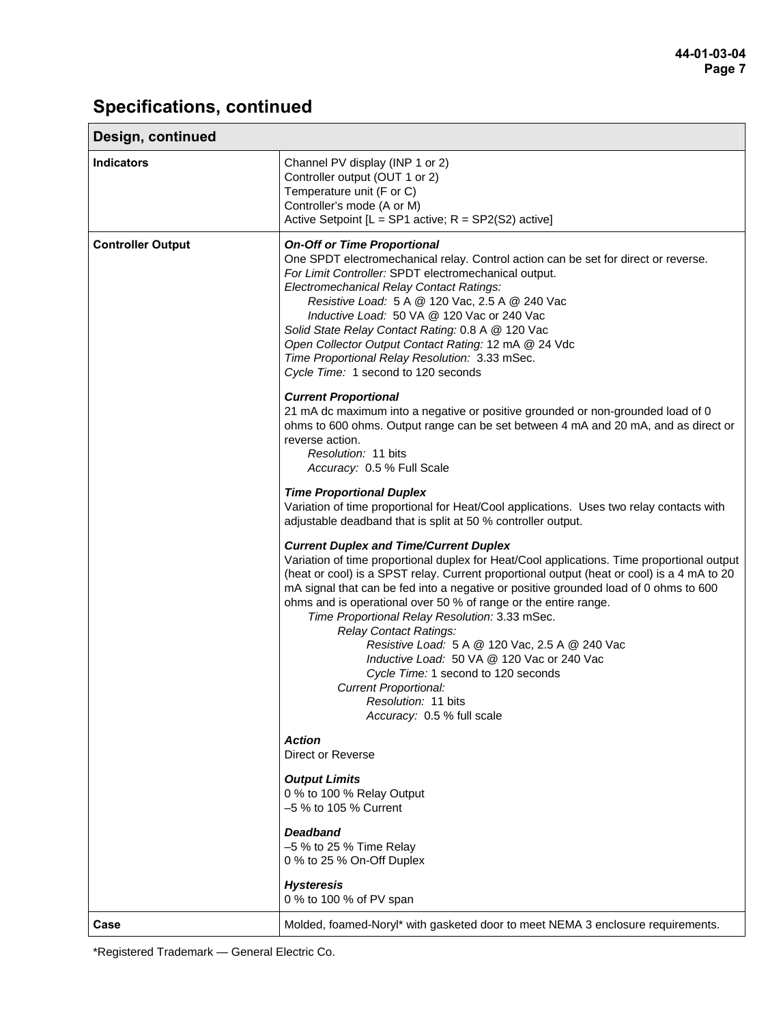| Design, continued        |                                                                                                                                                                                                                                                                                                                                                                                                                                                                                                                                                                                                                                                                                                                                                                                                                                                                                                                                                                                                                                                                                                                                                                                                                                                                                                                                                                                                                                                                                                                                                                                                                                                                                                                                                                                                                                                                                                                                                                                          |
|--------------------------|------------------------------------------------------------------------------------------------------------------------------------------------------------------------------------------------------------------------------------------------------------------------------------------------------------------------------------------------------------------------------------------------------------------------------------------------------------------------------------------------------------------------------------------------------------------------------------------------------------------------------------------------------------------------------------------------------------------------------------------------------------------------------------------------------------------------------------------------------------------------------------------------------------------------------------------------------------------------------------------------------------------------------------------------------------------------------------------------------------------------------------------------------------------------------------------------------------------------------------------------------------------------------------------------------------------------------------------------------------------------------------------------------------------------------------------------------------------------------------------------------------------------------------------------------------------------------------------------------------------------------------------------------------------------------------------------------------------------------------------------------------------------------------------------------------------------------------------------------------------------------------------------------------------------------------------------------------------------------------------|
| <b>Indicators</b>        | Channel PV display (INP 1 or 2)<br>Controller output (OUT 1 or 2)<br>Temperature unit (F or C)<br>Controller's mode (A or M)<br>Active Setpoint $[L = SP1$ active; $R = SP2(S2)$ active]                                                                                                                                                                                                                                                                                                                                                                                                                                                                                                                                                                                                                                                                                                                                                                                                                                                                                                                                                                                                                                                                                                                                                                                                                                                                                                                                                                                                                                                                                                                                                                                                                                                                                                                                                                                                 |
| <b>Controller Output</b> | <b>On-Off or Time Proportional</b><br>One SPDT electromechanical relay. Control action can be set for direct or reverse.<br>For Limit Controller: SPDT electromechanical output.<br>Electromechanical Relay Contact Ratings:<br>Resistive Load: 5 A @ 120 Vac, 2.5 A @ 240 Vac<br>Inductive Load: 50 VA @ 120 Vac or 240 Vac<br>Solid State Relay Contact Rating: 0.8 A @ 120 Vac<br>Open Collector Output Contact Rating: 12 mA @ 24 Vdc<br>Time Proportional Relay Resolution: 3.33 mSec.<br>Cycle Time: 1 second to 120 seconds<br><b>Current Proportional</b><br>21 mA dc maximum into a negative or positive grounded or non-grounded load of 0<br>ohms to 600 ohms. Output range can be set between 4 mA and 20 mA, and as direct or<br>reverse action.<br>Resolution: 11 bits<br>Accuracy: 0.5 % Full Scale<br><b>Time Proportional Duplex</b><br>Variation of time proportional for Heat/Cool applications. Uses two relay contacts with<br>adjustable deadband that is split at 50 % controller output.<br><b>Current Duplex and Time/Current Duplex</b><br>Variation of time proportional duplex for Heat/Cool applications. Time proportional output<br>(heat or cool) is a SPST relay. Current proportional output (heat or cool) is a 4 mA to 20<br>mA signal that can be fed into a negative or positive grounded load of 0 ohms to 600<br>ohms and is operational over 50 % of range or the entire range.<br>Time Proportional Relay Resolution: 3.33 mSec.<br><b>Relay Contact Ratings:</b><br>Resistive Load: 5 A @ 120 Vac, 2.5 A @ 240 Vac<br>Inductive Load: 50 VA @ 120 Vac or 240 Vac<br>Cycle Time: 1 second to 120 seconds<br><b>Current Proportional:</b><br>Resolution: 11 bits<br>Accuracy: 0.5 % full scale<br><b>Action</b><br>Direct or Reverse<br><b>Output Limits</b><br>0 % to 100 % Relay Output<br>-5 % to 105 % Current<br><b>Deadband</b><br>$-5$ % to 25 % Time Relay<br>0 % to 25 % On-Off Duplex<br><b>Hysteresis</b><br>0 % to 100 % of PV span |
| Case                     | Molded, foamed-Noryl* with gasketed door to meet NEMA 3 enclosure requirements.                                                                                                                                                                                                                                                                                                                                                                                                                                                                                                                                                                                                                                                                                                                                                                                                                                                                                                                                                                                                                                                                                                                                                                                                                                                                                                                                                                                                                                                                                                                                                                                                                                                                                                                                                                                                                                                                                                          |

\*Registered Trademark — General Electric Co.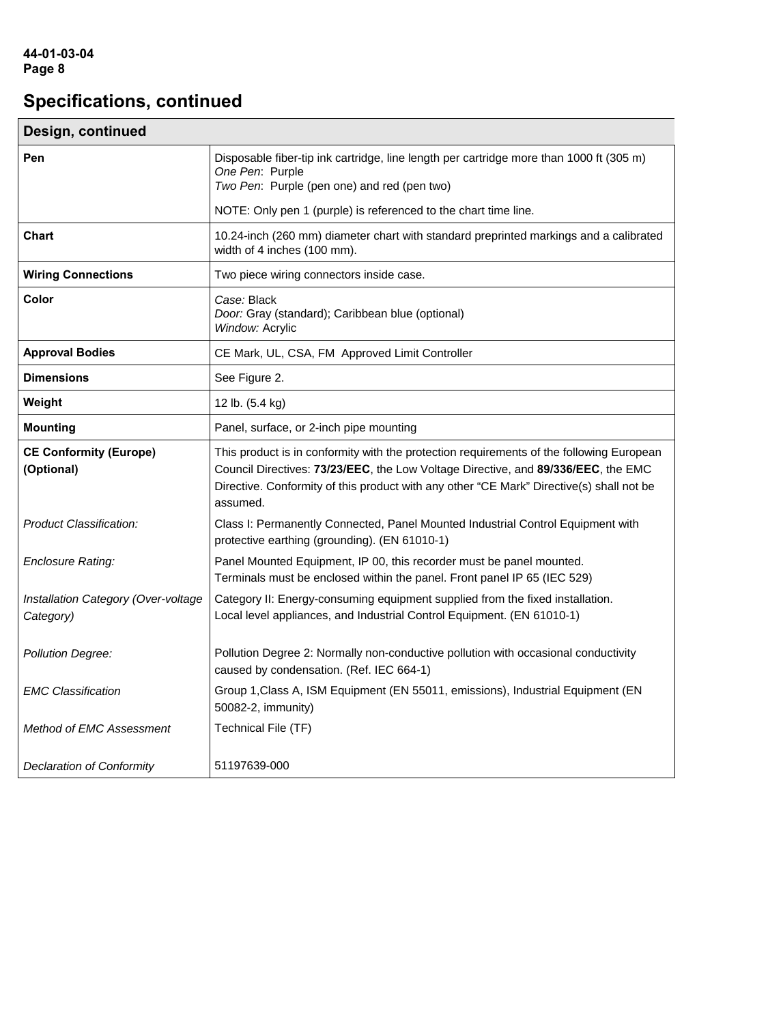| Design, continued                                |                                                                                                                                                                                                                                                                                       |  |  |  |
|--------------------------------------------------|---------------------------------------------------------------------------------------------------------------------------------------------------------------------------------------------------------------------------------------------------------------------------------------|--|--|--|
| Pen                                              | Disposable fiber-tip ink cartridge, line length per cartridge more than 1000 ft (305 m)<br>One Pen: Purple<br>Two Pen: Purple (pen one) and red (pen two)                                                                                                                             |  |  |  |
|                                                  | NOTE: Only pen 1 (purple) is referenced to the chart time line.                                                                                                                                                                                                                       |  |  |  |
| <b>Chart</b>                                     | 10.24-inch (260 mm) diameter chart with standard preprinted markings and a calibrated<br>width of 4 inches (100 mm).                                                                                                                                                                  |  |  |  |
| <b>Wiring Connections</b>                        | Two piece wiring connectors inside case.                                                                                                                                                                                                                                              |  |  |  |
| Color                                            | Case: Black<br>Door: Gray (standard); Caribbean blue (optional)<br>Window: Acrylic                                                                                                                                                                                                    |  |  |  |
| <b>Approval Bodies</b>                           | CE Mark, UL, CSA, FM Approved Limit Controller                                                                                                                                                                                                                                        |  |  |  |
| <b>Dimensions</b>                                | See Figure 2.                                                                                                                                                                                                                                                                         |  |  |  |
| Weight                                           | 12 lb. (5.4 kg)                                                                                                                                                                                                                                                                       |  |  |  |
| <b>Mounting</b>                                  | Panel, surface, or 2-inch pipe mounting                                                                                                                                                                                                                                               |  |  |  |
| <b>CE Conformity (Europe)</b><br>(Optional)      | This product is in conformity with the protection requirements of the following European<br>Council Directives: 73/23/EEC, the Low Voltage Directive, and 89/336/EEC, the EMC<br>Directive. Conformity of this product with any other "CE Mark" Directive(s) shall not be<br>assumed. |  |  |  |
| Product Classification:                          | Class I: Permanently Connected, Panel Mounted Industrial Control Equipment with<br>protective earthing (grounding). (EN 61010-1)                                                                                                                                                      |  |  |  |
| <b>Enclosure Rating:</b>                         | Panel Mounted Equipment, IP 00, this recorder must be panel mounted.<br>Terminals must be enclosed within the panel. Front panel IP 65 (IEC 529)                                                                                                                                      |  |  |  |
| Installation Category (Over-voltage<br>Category) | Category II: Energy-consuming equipment supplied from the fixed installation.<br>Local level appliances, and Industrial Control Equipment. (EN 61010-1)                                                                                                                               |  |  |  |
| <b>Pollution Degree:</b>                         | Pollution Degree 2: Normally non-conductive pollution with occasional conductivity<br>caused by condensation. (Ref. IEC 664-1)                                                                                                                                                        |  |  |  |
| <b>EMC Classification</b>                        | Group 1, Class A, ISM Equipment (EN 55011, emissions), Industrial Equipment (EN<br>50082-2, immunity)                                                                                                                                                                                 |  |  |  |
| Method of EMC Assessment                         | Technical File (TF)                                                                                                                                                                                                                                                                   |  |  |  |
| Declaration of Conformity                        | 51197639-000                                                                                                                                                                                                                                                                          |  |  |  |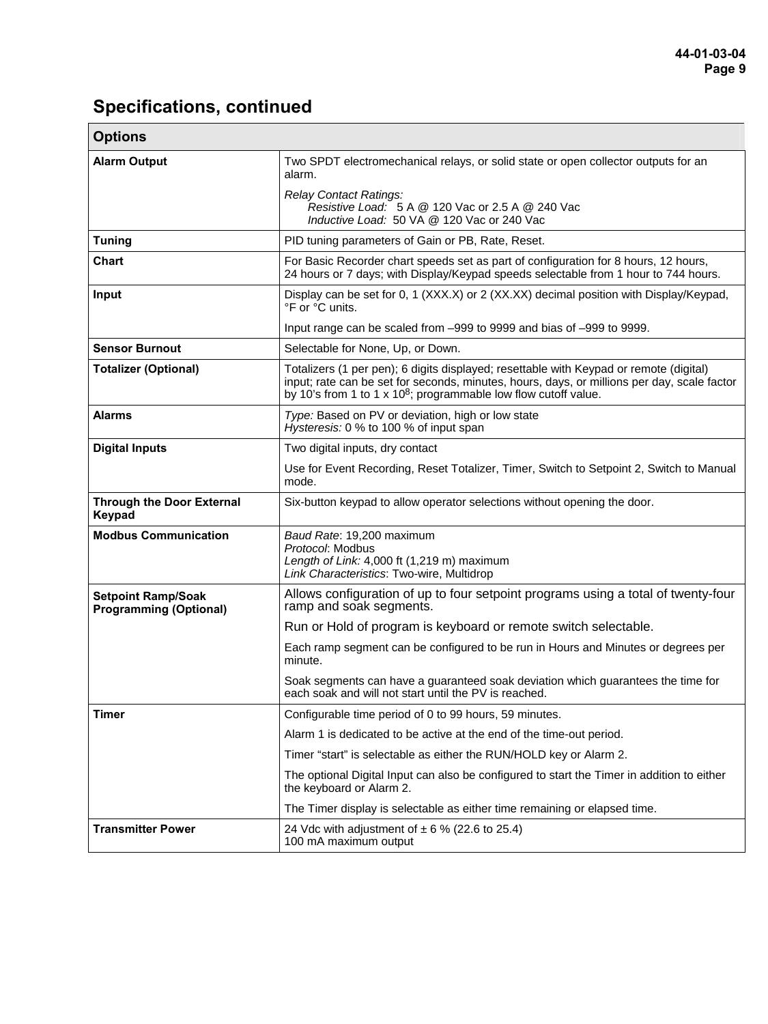| <b>Options</b>                                             |                                                                                                                                                                                                                                                                      |  |  |  |  |
|------------------------------------------------------------|----------------------------------------------------------------------------------------------------------------------------------------------------------------------------------------------------------------------------------------------------------------------|--|--|--|--|
| <b>Alarm Output</b>                                        | Two SPDT electromechanical relays, or solid state or open collector outputs for an<br>alarm.                                                                                                                                                                         |  |  |  |  |
|                                                            | Relay Contact Ratings:<br>Resistive Load: 5 A @ 120 Vac or 2.5 A @ 240 Vac<br>Inductive Load: 50 VA @ 120 Vac or 240 Vac                                                                                                                                             |  |  |  |  |
| <b>Tuning</b>                                              | PID tuning parameters of Gain or PB, Rate, Reset.                                                                                                                                                                                                                    |  |  |  |  |
| <b>Chart</b>                                               | For Basic Recorder chart speeds set as part of configuration for 8 hours, 12 hours,<br>24 hours or 7 days; with Display/Keypad speeds selectable from 1 hour to 744 hours.                                                                                           |  |  |  |  |
| Input                                                      | Display can be set for 0, 1 (XXX.X) or 2 (XX.XX) decimal position with Display/Keypad,<br>°F or °C units.                                                                                                                                                            |  |  |  |  |
|                                                            | Input range can be scaled from -999 to 9999 and bias of -999 to 9999.                                                                                                                                                                                                |  |  |  |  |
| <b>Sensor Burnout</b>                                      | Selectable for None, Up, or Down.                                                                                                                                                                                                                                    |  |  |  |  |
| <b>Totalizer (Optional)</b>                                | Totalizers (1 per pen); 6 digits displayed; resettable with Keypad or remote (digital)<br>input; rate can be set for seconds, minutes, hours, days, or millions per day, scale factor<br>by 10's from 1 to 1 x 10 <sup>8</sup> ; programmable low flow cutoff value. |  |  |  |  |
| <b>Alarms</b>                                              | Type: Based on PV or deviation, high or low state<br>Hysteresis: 0 % to 100 % of input span                                                                                                                                                                          |  |  |  |  |
| <b>Digital Inputs</b>                                      | Two digital inputs, dry contact                                                                                                                                                                                                                                      |  |  |  |  |
|                                                            | Use for Event Recording, Reset Totalizer, Timer, Switch to Setpoint 2, Switch to Manual<br>mode.                                                                                                                                                                     |  |  |  |  |
| <b>Through the Door External</b><br>Keypad                 | Six-button keypad to allow operator selections without opening the door.                                                                                                                                                                                             |  |  |  |  |
| <b>Modbus Communication</b>                                | Baud Rate: 19,200 maximum<br>Protocol: Modbus<br>Length of Link: 4,000 ft (1,219 m) maximum<br>Link Characteristics: Two-wire, Multidrop                                                                                                                             |  |  |  |  |
| <b>Setpoint Ramp/Soak</b><br><b>Programming (Optional)</b> | Allows configuration of up to four setpoint programs using a total of twenty-four<br>ramp and soak segments.                                                                                                                                                         |  |  |  |  |
|                                                            | Run or Hold of program is keyboard or remote switch selectable.                                                                                                                                                                                                      |  |  |  |  |
|                                                            | Each ramp segment can be configured to be run in Hours and Minutes or degrees per<br>minute.                                                                                                                                                                         |  |  |  |  |
|                                                            | Soak segments can have a guaranteed soak deviation which guarantees the time for<br>each soak and will not start until the PV is reached.                                                                                                                            |  |  |  |  |
| <b>Timer</b>                                               | Configurable time period of 0 to 99 hours, 59 minutes.                                                                                                                                                                                                               |  |  |  |  |
|                                                            | Alarm 1 is dedicated to be active at the end of the time-out period.                                                                                                                                                                                                 |  |  |  |  |
|                                                            | Timer "start" is selectable as either the RUN/HOLD key or Alarm 2.                                                                                                                                                                                                   |  |  |  |  |
|                                                            | The optional Digital Input can also be configured to start the Timer in addition to either<br>the keyboard or Alarm 2.                                                                                                                                               |  |  |  |  |
|                                                            | The Timer display is selectable as either time remaining or elapsed time.                                                                                                                                                                                            |  |  |  |  |
| <b>Transmitter Power</b>                                   | 24 Vdc with adjustment of $\pm$ 6 % (22.6 to 25.4)<br>100 mA maximum output                                                                                                                                                                                          |  |  |  |  |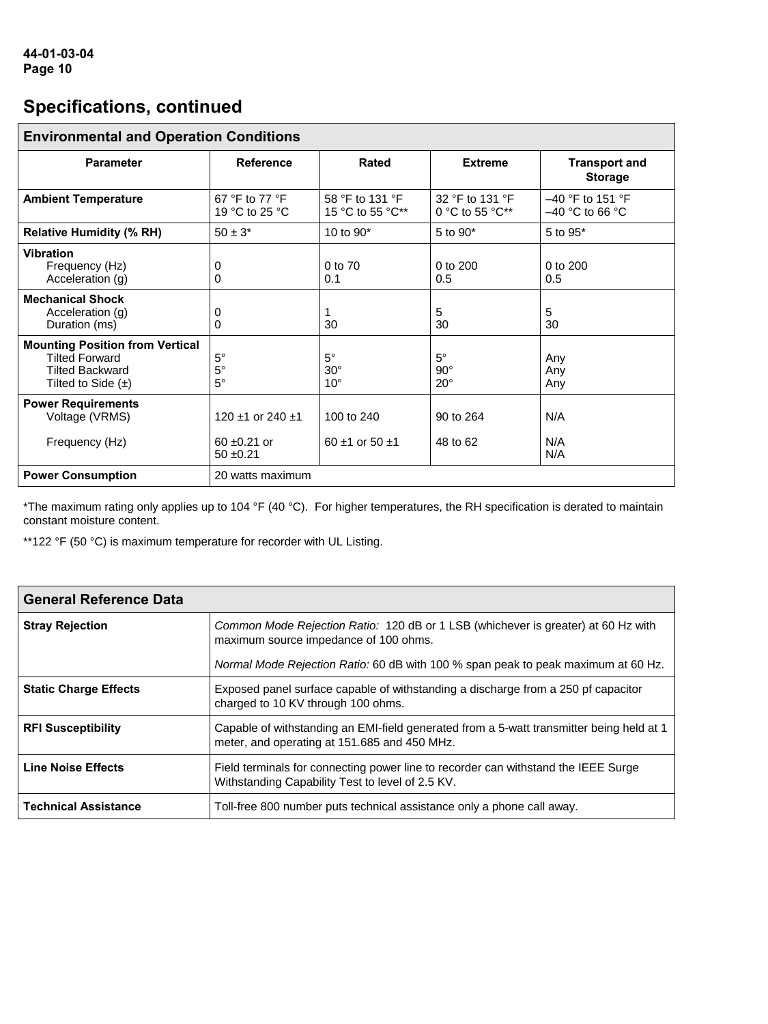| <b>Environmental and Operation Conditions</b>                                                                       |                                       |                                         |                                       |                                         |
|---------------------------------------------------------------------------------------------------------------------|---------------------------------------|-----------------------------------------|---------------------------------------|-----------------------------------------|
| <b>Parameter</b>                                                                                                    | <b>Reference</b>                      | Rated                                   | <b>Extreme</b>                        | <b>Transport and</b><br><b>Storage</b>  |
| <b>Ambient Temperature</b>                                                                                          | 67 °F to 77 °F<br>19 °C to 25 °C      | 58 °F to 131 °F<br>15 °C to 55 °C**     | 32 °F to 131 °F<br>0 °C to 55 °C**    | $-40$ °F to 151 °F<br>$-40$ °C to 66 °C |
| <b>Relative Humidity (% RH)</b>                                                                                     | $50 \pm 3^*$                          | 10 to 90*                               | $5$ to $90*$                          | 5 to 95*                                |
| <b>Vibration</b><br>Frequency (Hz)<br>Acceleration (g)                                                              | 0<br>0                                | $0$ to $70$<br>0.1                      | 0 to 200<br>0.5                       | $0$ to $200$<br>0.5                     |
| <b>Mechanical Shock</b><br>Acceleration (g)<br>Duration (ms)                                                        | 0<br>0                                | 30                                      | 5<br>30                               | 5<br>30                                 |
| <b>Mounting Position from Vertical</b><br><b>Tilted Forward</b><br><b>Tilted Backward</b><br>Tilted to Side $(\pm)$ | $5^\circ$<br>$5^{\circ}$<br>$5^\circ$ | $5^\circ$<br>$30^\circ$<br>$10^{\circ}$ | $5^\circ$<br>$90^\circ$<br>$20^\circ$ | Any<br>Any<br>Any                       |
| <b>Power Requirements</b><br>Voltage (VRMS)                                                                         | 120 $\pm$ 1 or 240 $\pm$ 1            | 100 to 240                              | 90 to 264                             | N/A                                     |
| Frequency (Hz)                                                                                                      | $60 \pm 0.21$ or<br>$50 + 0.21$       | 60 $\pm$ 1 or 50 $\pm$ 1                | 48 to 62                              | N/A<br>N/A                              |
| <b>Power Consumption</b>                                                                                            | 20 watts maximum                      |                                         |                                       |                                         |

\*The maximum rating only applies up to 104 °F (40 °C). For higher temperatures, the RH specification is derated to maintain constant moisture content.

\*\*122 °F (50 °C) is maximum temperature for recorder with UL Listing.

| <b>General Reference Data</b> |                                                                                                                                          |
|-------------------------------|------------------------------------------------------------------------------------------------------------------------------------------|
| <b>Stray Rejection</b>        | Common Mode Rejection Ratio: 120 dB or 1 LSB (whichever is greater) at 60 Hz with<br>maximum source impedance of 100 ohms.               |
|                               | Normal Mode Rejection Ratio: 60 dB with 100 % span peak to peak maximum at 60 Hz.                                                        |
| <b>Static Charge Effects</b>  | Exposed panel surface capable of withstanding a discharge from a 250 pf capacitor<br>charged to 10 KV through 100 ohms.                  |
| <b>RFI Susceptibility</b>     | Capable of withstanding an EMI-field generated from a 5-watt transmitter being held at 1<br>meter, and operating at 151.685 and 450 MHz. |
| <b>Line Noise Effects</b>     | Field terminals for connecting power line to recorder can withstand the IEEE Surge<br>Withstanding Capability Test to level of 2.5 KV.   |
| <b>Technical Assistance</b>   | Toll-free 800 number puts technical assistance only a phone call away.                                                                   |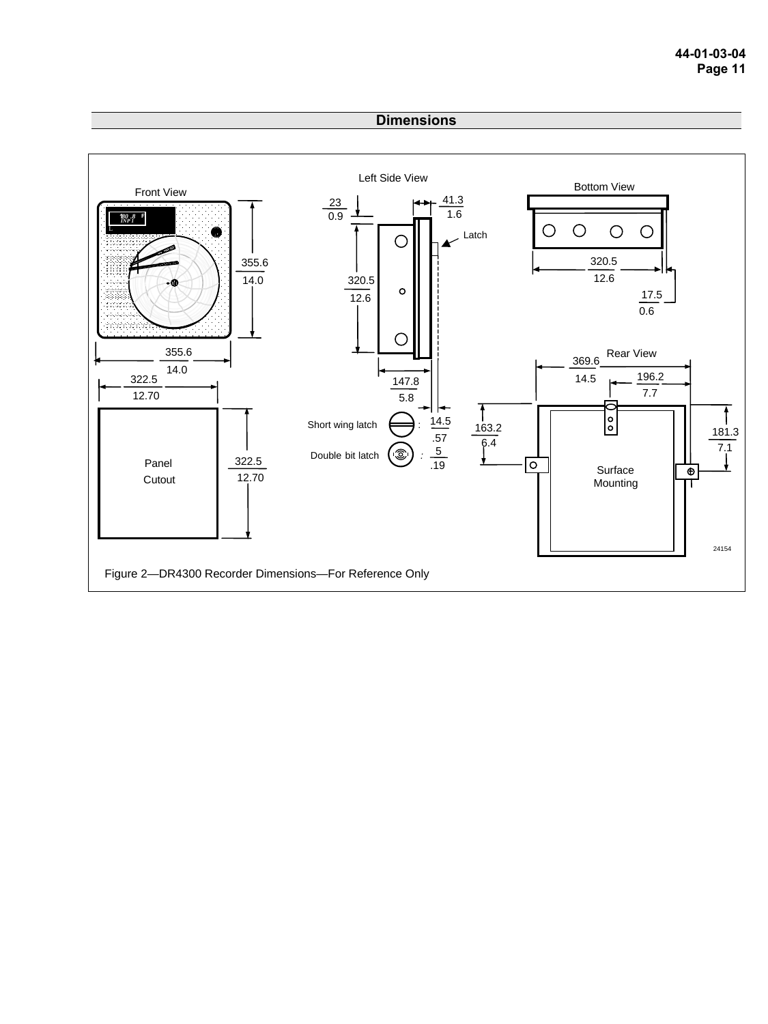#### **Dimensions**